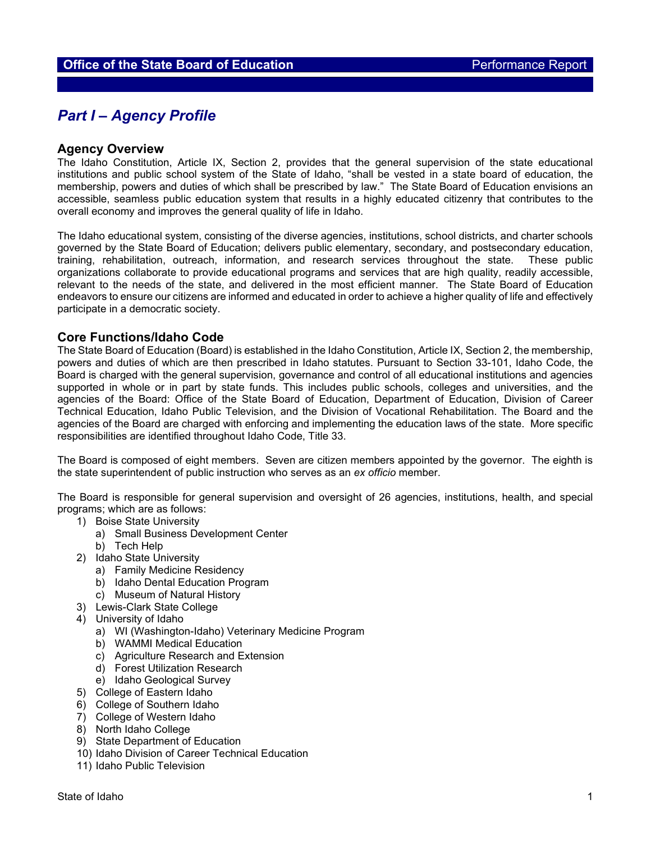### *Part I – Agency Profile*

### **Agency Overview**

The Idaho Constitution, Article IX, Section 2, provides that the general supervision of the state educational institutions and public school system of the State of Idaho, "shall be vested in a state board of education, the membership, powers and duties of which shall be prescribed by law." The State Board of Education envisions an accessible, seamless public education system that results in a highly educated citizenry that contributes to the overall economy and improves the general quality of life in Idaho.

The Idaho educational system, consisting of the diverse agencies, institutions, school districts, and charter schools governed by the State Board of Education; delivers public elementary, secondary, and postsecondary education, training, rehabilitation, outreach, information, and research services throughout the state. These public organizations collaborate to provide educational programs and services that are high quality, readily accessible, relevant to the needs of the state, and delivered in the most efficient manner. The State Board of Education endeavors to ensure our citizens are informed and educated in order to achieve a higher quality of life and effectively participate in a democratic society.

#### **Core Functions/Idaho Code**

The State Board of Education (Board) is established in the Idaho Constitution, Article IX, Section 2, the membership, powers and duties of which are then prescribed in Idaho statutes. Pursuant to Section 33-101, Idaho Code, the Board is charged with the general supervision, governance and control of all educational institutions and agencies supported in whole or in part by state funds. This includes public schools, colleges and universities, and the agencies of the Board: Office of the State Board of Education, Department of Education, Division of Career Technical Education, Idaho Public Television, and the Division of Vocational Rehabilitation. The Board and the agencies of the Board are charged with enforcing and implementing the education laws of the state. More specific responsibilities are identified throughout Idaho Code, Title 33.

The Board is composed of eight members. Seven are citizen members appointed by the governor. The eighth is the state superintendent of public instruction who serves as an *ex officio* member.

The Board is responsible for general supervision and oversight of 26 agencies, institutions, health, and special programs; which are as follows:

- 1) Boise State University
	- a) Small Business Development Center
	- b) Tech Help
- 2) Idaho State University
	- a) Family Medicine Residency
	- b) Idaho Dental Education Program
	- c) Museum of Natural History
- 3) Lewis-Clark State College
- 4) University of Idaho
	- a) WI (Washington-Idaho) Veterinary Medicine Program
	- b) WAMMI Medical Education
	- c) Agriculture Research and Extension
	- d) Forest Utilization Research
	- e) Idaho Geological Survey
- 5) College of Eastern Idaho
- 6) College of Southern Idaho
- 7) College of Western Idaho
- 8) North Idaho College
- 9) State Department of Education
- 10) Idaho Division of Career Technical Education
- 11) Idaho Public Television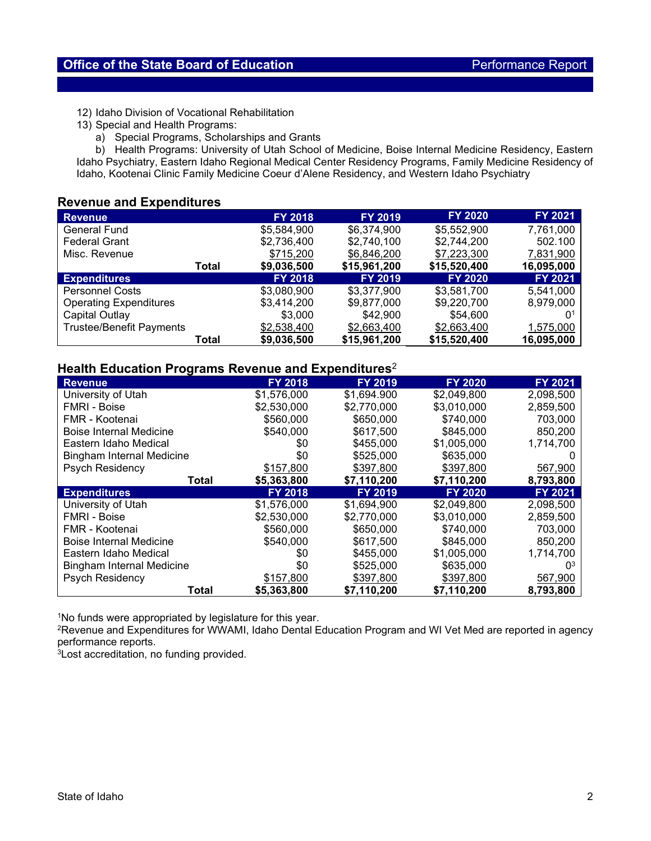- 12) Idaho Division of Vocational Rehabilitation
- 13) Special and Health Programs:
	- a) Special Programs, Scholarships and Grants

b) Health Programs: University of Utah School of Medicine, Boise Internal Medicine Residency, Eastern Idaho Psychiatry, Eastern Idaho Regional Medical Center Residency Programs, Family Medicine Residency of Idaho, Kootenai Clinic Family Medicine Coeur d'Alene Residency, and Western Idaho Psychiatry

### **Revenue and Expenditures**

| <b>Revenue</b>                  |       | <b>FY 2018</b> | <b>FY 2019</b> | <b>FY 2020</b> | <b>FY 2021</b>        |
|---------------------------------|-------|----------------|----------------|----------------|-----------------------|
| General Fund                    |       | \$5,584,900    | \$6,374,900    | \$5,552,900    | 7,761,000             |
| <b>Federal Grant</b>            |       | \$2,736,400    | \$2,740,100    | \$2,744,200    | 502.100               |
| Misc. Revenue                   |       | \$715,200      | \$6,846,200    | \$7,223,300    | 7,831,900             |
|                                 | Total | \$9,036,500    | \$15,961,200   | \$15,520,400   | 16,095,000            |
| <b>Expenditures</b>             |       | <b>FY 2018</b> | <b>FY 2019</b> | <b>FY 2020</b> | <b>FY 2021</b>        |
| <b>Personnel Costs</b>          |       | \$3,080,900    | \$3,377,900    | \$3,581,700    | 5,541,000             |
| <b>Operating Expenditures</b>   |       | \$3,414,200    | \$9,877,000    | \$9,220,700    | 8.979.000             |
| Capital Outlay                  |       | \$3,000        | \$42,900       | \$54,600       | $\Omega$ <sup>1</sup> |
| <b>Trustee/Benefit Payments</b> |       | \$2,538,400    | \$2,663,400    | \$2,663,400    | 1,575,000             |
|                                 | Total | \$9,036,500    | \$15,961,200   | \$15,520,400   | 16,095,000            |

### **Health Education Programs Revenue and Expenditures**<sup>2</sup>

| ncann Luucanon rugnamo Kovonuo anu Lyponunuroo |                |                        |                |           |
|------------------------------------------------|----------------|------------------------|----------------|-----------|
| <b>Revenue</b>                                 | <b>FY 2018</b> | <b>FY 2019</b>         | <b>FY 2020</b> | FY 2021   |
| University of Utah                             | \$1,576,000    | \$1,694.900            | \$2,049,800    | 2,098,500 |
| <b>FMRI - Boise</b>                            | \$2,530,000    | \$2,770,000            | \$3,010,000    | 2,859,500 |
| FMR - Kootenai                                 | \$560,000      | \$650,000              | \$740,000      | 703,000   |
| <b>Boise Internal Medicine</b>                 | \$540,000      | \$617,500<br>\$845,000 |                | 850,200   |
| Eastern Idaho Medical                          | \$0            | \$455,000              | \$1,005,000    | 1,714,700 |
| <b>Bingham Internal Medicine</b>               | \$0            | \$525,000              | \$635,000      |           |
| Psych Residency                                | \$157,800      | \$397,800              | \$397,800      | 567,900   |
| Total                                          | \$5,363,800    | \$7,110,200            | \$7,110,200    | 8,793,800 |
| <b>Expenditures</b>                            |                |                        |                |           |
|                                                | <b>FY 2018</b> | FY 2019                | <b>FY 2020</b> | FY 2021   |
| University of Utah                             | \$1,576,000    | \$1,694,900            | \$2,049,800    | 2,098,500 |
| <b>FMRI - Boise</b>                            | \$2,530,000    | \$2,770,000            | \$3,010,000    | 2,859,500 |
| FMR - Kootenai                                 | \$560,000      | \$650,000              | \$740,000      | 703,000   |
| <b>Boise Internal Medicine</b>                 | \$540,000      | \$617,500              | \$845,000      | 850,200   |
| Eastern Idaho Medical                          | \$0            | \$455,000              | \$1,005,000    | 1,714,700 |
| <b>Bingham Internal Medicine</b>               | \$0            | \$525,000              | \$635,000      | $\Omega$  |
| Psych Residency                                | \$157,800      | \$397,800              | \$397,800      | 567,900   |

1No funds were appropriated by legislature for this year.

2Revenue and Expenditures for WWAMI, Idaho Dental Education Program and WI Vet Med are reported in agency performance reports.

3Lost accreditation, no funding provided.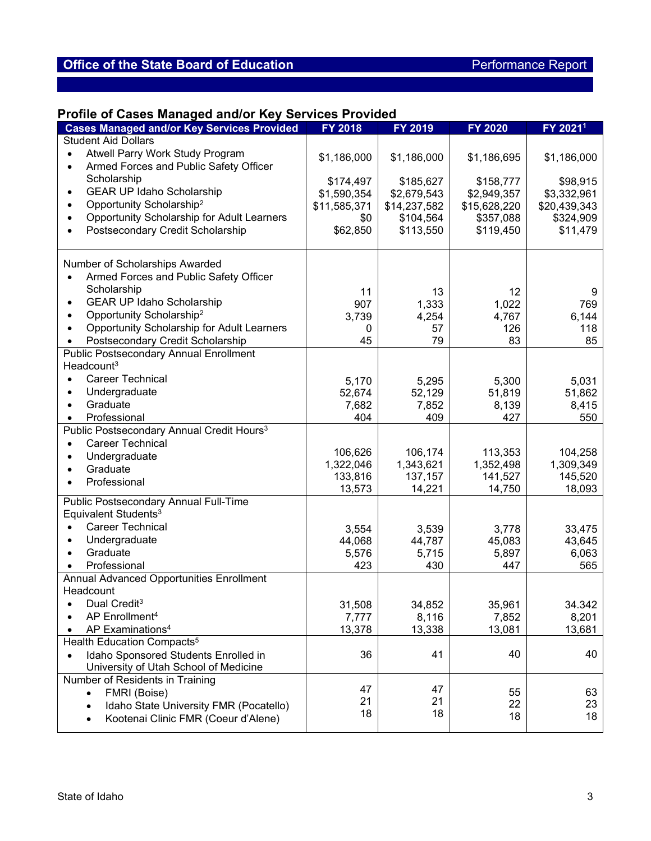## **Office of the State Board of Education Performance Report**

| Profile of Cases Managed and/or Key Services Provided |
|-------------------------------------------------------|
|-------------------------------------------------------|

| <b>Cases Managed and/or Key Services Provided</b>                                 | <b>FY 2018</b> | <b>FY 2019</b> | <b>FY 2020</b> | FY 20211     |
|-----------------------------------------------------------------------------------|----------------|----------------|----------------|--------------|
| <b>Student Aid Dollars</b>                                                        |                |                |                |              |
| Atwell Parry Work Study Program<br>$\bullet$                                      | \$1,186,000    | \$1,186,000    | \$1,186,695    | \$1,186,000  |
| Armed Forces and Public Safety Officer<br>$\bullet$                               |                |                |                |              |
| Scholarship                                                                       | \$174,497      | \$185,627      | \$158,777      | \$98,915     |
| <b>GEAR UP Idaho Scholarship</b><br>$\bullet$                                     | \$1,590,354    | \$2,679,543    | \$2,949,357    | \$3,332,961  |
| Opportunity Scholarship <sup>2</sup><br>$\bullet$                                 | \$11,585,371   | \$14,237,582   | \$15,628,220   | \$20,439,343 |
| Opportunity Scholarship for Adult Learners                                        | \$0            | \$104,564      | \$357,088      | \$324,909    |
| Postsecondary Credit Scholarship                                                  | \$62,850       | \$113,550      | \$119,450      | \$11,479     |
|                                                                                   |                |                |                |              |
| Number of Scholarships Awarded                                                    |                |                |                |              |
| Armed Forces and Public Safety Officer                                            |                |                |                |              |
| Scholarship                                                                       |                |                |                |              |
| <b>GEAR UP Idaho Scholarship</b><br>$\bullet$                                     | 11             | 13             | 12             | 9            |
|                                                                                   | 907            | 1,333          | 1,022          | 769          |
| Opportunity Scholarship <sup>2</sup><br>$\bullet$                                 | 3,739          | 4,254          | 4,767          | 6,144        |
| Opportunity Scholarship for Adult Learners                                        | 0              | 57             | 126            | 118          |
| Postsecondary Credit Scholarship<br><b>Public Postsecondary Annual Enrollment</b> | 45             | 79             | 83             | 85           |
| Headcount <sup>3</sup>                                                            |                |                |                |              |
| <b>Career Technical</b><br>$\bullet$                                              | 5,170          | 5,295          | 5,300          | 5,031        |
| Undergraduate<br>$\bullet$                                                        | 52,674         | 52,129         | 51,819         | 51,862       |
| Graduate<br>$\bullet$                                                             | 7,682          | 7,852          | 8,139          | 8,415        |
| Professional                                                                      | 404            | 409            | 427            | 550          |
| Public Postsecondary Annual Credit Hours <sup>3</sup>                             |                |                |                |              |
| <b>Career Technical</b>                                                           |                |                |                |              |
| Undergraduate<br>$\bullet$                                                        | 106,626        | 106,174        | 113,353        | 104,258      |
| Graduate                                                                          | 1,322,046      | 1,343,621      | 1,352,498      | 1,309,349    |
| Professional                                                                      | 133,816        | 137,157        | 141,527        | 145,520      |
|                                                                                   | 13,573         | 14,221         | 14,750         | 18,093       |
| Public Postsecondary Annual Full-Time                                             |                |                |                |              |
| Equivalent Students <sup>3</sup>                                                  |                |                |                |              |
| <b>Career Technical</b>                                                           | 3,554          | 3,539          | 3,778          | 33,475       |
| Undergraduate<br>$\bullet$                                                        | 44,068         | 44,787         | 45,083         | 43,645       |
| Graduate<br>$\bullet$                                                             | 5,576          | 5,715          | 5,897          | 6,063        |
| Professional                                                                      | 423            | 430            | 447            | 565          |
| Annual Advanced Opportunities Enrollment                                          |                |                |                |              |
| Headcount                                                                         |                |                |                |              |
| Dual Credit <sup>3</sup>                                                          | 31,508         | 34,852         | 35,961         | 34.342       |
| AP Enrollment <sup>4</sup>                                                        | 7,777          | 8,116          | 7,852          | 8,201        |
| AP Examinations <sup>4</sup>                                                      | 13,378         | 13,338         | 13,081         | 13,681       |
| Health Education Compacts <sup>5</sup>                                            |                |                |                |              |
| Idaho Sponsored Students Enrolled in                                              | 36             | 41             | 40             | 40           |
| University of Utah School of Medicine                                             |                |                |                |              |
| Number of Residents in Training                                                   |                |                |                |              |
| FMRI (Boise)                                                                      | 47             | 47             | 55             | 63           |
| Idaho State University FMR (Pocatello)                                            | 21             | 21             | 22             | 23           |
| Kootenai Clinic FMR (Coeur d'Alene)                                               | 18             | 18             | 18             | 18           |
|                                                                                   |                |                |                |              |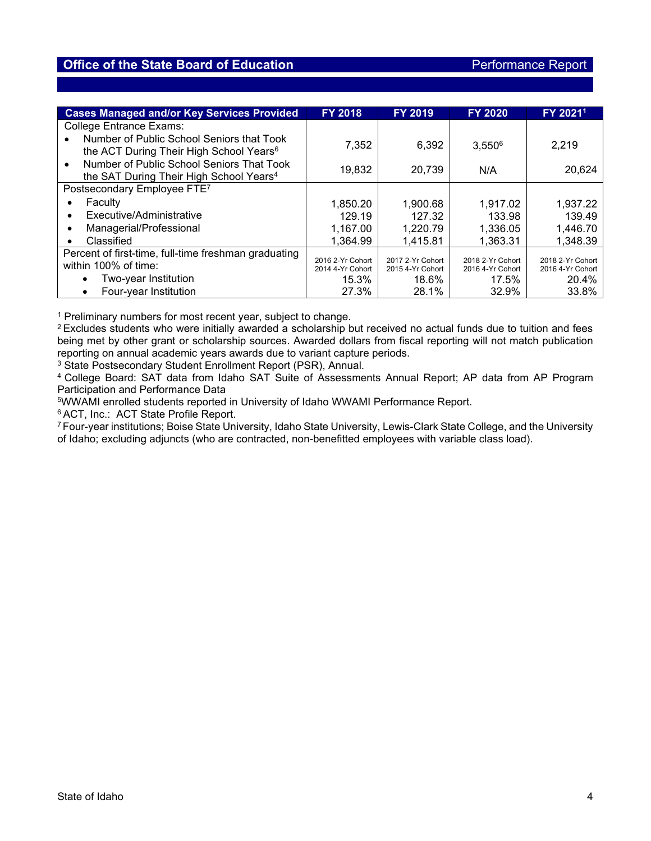### **Office of the State Board of Education Performance Report**

| <b>Cases Managed and/or Key Services Provided</b>                                                | <b>FY 2018</b>                       | <b>FY 2019</b>                       | <b>FY 2020</b>                       | FY 2021 <sup>1</sup>                 |
|--------------------------------------------------------------------------------------------------|--------------------------------------|--------------------------------------|--------------------------------------|--------------------------------------|
| <b>College Entrance Exams:</b>                                                                   |                                      |                                      |                                      |                                      |
| Number of Public School Seniors that Took<br>the ACT During Their High School Years <sup>6</sup> | 7,352                                | 6,392                                | $3,550^6$                            | 2,219                                |
| Number of Public School Seniors That Took<br>the SAT During Their High School Years <sup>4</sup> | 19,832                               | 20,739                               | N/A                                  | 20,624                               |
| Postsecondary Employee FTE7                                                                      |                                      |                                      |                                      |                                      |
| Faculty                                                                                          | 1,850.20                             | 1,900.68                             | 1.917.02                             | 1.937.22                             |
| Executive/Administrative<br>$\bullet$                                                            | 129.19                               | 127.32                               | 133.98                               | 139.49                               |
| Managerial/Professional<br>$\bullet$                                                             | 1,167.00                             | 1,220.79                             | 1,336.05                             | 1,446.70                             |
| Classified<br>$\bullet$                                                                          | 1,364.99                             | 1,415.81                             | 1.363.31                             | 1,348.39                             |
| Percent of first-time, full-time freshman graduating<br>within 100% of time:                     | 2016 2-Yr Cohort<br>2014 4-Yr Cohort | 2017 2-Yr Cohort<br>2015 4-Yr Cohort | 2018 2-Yr Cohort<br>2016 4-Yr Cohort | 2018 2-Yr Cohort<br>2016 4-Yr Cohort |
| Two-year Institution                                                                             | 15.3%                                | 18.6%                                | 17.5%                                | 20.4%                                |
| Four-year Institution<br>$\bullet$                                                               | 27.3%                                | 28.1%                                | 32.9%                                | 33.8%                                |

<sup>1</sup> Preliminary numbers for most recent year, subject to change.

2 Excludes students who were initially awarded a scholarship but received no actual funds due to tuition and fees being met by other grant or scholarship sources. Awarded dollars from fiscal reporting will not match publication reporting on annual academic years awards due to variant capture periods.

<sup>3</sup> State Postsecondary Student Enrollment Report (PSR), Annual.

<sup>4</sup> College Board: SAT data from Idaho SAT Suite of Assessments Annual Report; AP data from AP Program Participation and Performance Data

5WWAMI enrolled students reported in University of Idaho WWAMI Performance Report.

<sup>6</sup> ACT, Inc.: ACT State Profile Report.

7Four-year institutions; Boise State University, Idaho State University, Lewis-Clark State College, and the University of Idaho; excluding adjuncts (who are contracted, non-benefitted employees with variable class load).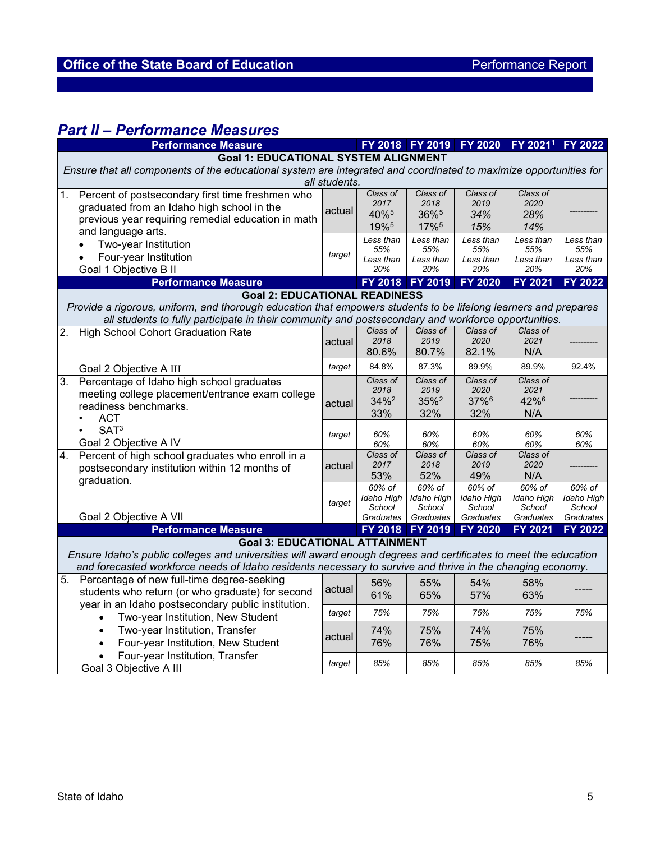# *Part II – Performance Measures*

| <b>Performance Measure</b>                                                                                        |        |                          |                      |                      | FY 2018 FY 2019 FY 2020 FY 20211 FY 2022 |                      |  |
|-------------------------------------------------------------------------------------------------------------------|--------|--------------------------|----------------------|----------------------|------------------------------------------|----------------------|--|
| <b>Goal 1: EDUCATIONAL SYSTEM ALIGNMENT</b>                                                                       |        |                          |                      |                      |                                          |                      |  |
| Ensure that all components of the educational system are integrated and coordinated to maximize opportunities for |        |                          |                      |                      |                                          |                      |  |
| all students.                                                                                                     |        |                          |                      |                      |                                          |                      |  |
| Percent of postsecondary first time freshmen who<br>1.                                                            |        | Class of                 | Class of             | Class of             | Class of                                 |                      |  |
| graduated from an Idaho high school in the                                                                        | actual | 2017<br>40% <sup>5</sup> | 2018<br>36%5         | 2019<br>34%          | 2020<br>28%                              |                      |  |
| previous year requiring remedial education in math                                                                |        | 19%5                     | 17%5                 | 15%                  | 14%                                      |                      |  |
| and language arts.                                                                                                |        | Less than                | Less than            | Less than            | Less than                                | Less than            |  |
| Two-year Institution                                                                                              |        | 55%                      | 55%                  | 55%                  | 55%                                      | 55%                  |  |
| Four-year Institution                                                                                             | target | Less than                | Less than            | Less than            | Less than                                | Less than            |  |
| Goal 1 Objective B II                                                                                             |        | 20%                      | 20%                  | 20%                  | 20%                                      | 20%                  |  |
| <b>Performance Measure</b>                                                                                        |        |                          | FY 2018 FY 2019      | <b>FY 2020</b>       | FY 2021                                  | <b>FY 2022</b>       |  |
| <b>Goal 2: EDUCATIONAL READINESS</b>                                                                              |        |                          |                      |                      |                                          |                      |  |
| Provide a rigorous, uniform, and thorough education that empowers students to be lifelong learners and prepares   |        |                          |                      |                      |                                          |                      |  |
| all students to fully participate in their community and postsecondary and workforce opportunities.               |        |                          |                      |                      |                                          |                      |  |
| High School Cohort Graduation Rate<br>2.                                                                          |        | Class of<br>2018         | Class of<br>2019     | Class of<br>2020     | Class of<br>2021                         |                      |  |
|                                                                                                                   | actual | 80.6%                    | 80.7%                | 82.1%                | N/A                                      |                      |  |
|                                                                                                                   | target | 84.8%                    | 87.3%                | 89.9%                | 89.9%                                    | 92.4%                |  |
| Goal 2 Objective A III                                                                                            |        | Class of                 | Class of             | Class of             | Class of                                 |                      |  |
| 3.<br>Percentage of Idaho high school graduates                                                                   |        | 2018                     | 2019                 | 2020                 | 2021                                     |                      |  |
| meeting college placement/entrance exam college<br>readiness benchmarks.                                          | actual | 34% <sup>2</sup>         | 35% <sup>2</sup>     | 37%6                 | 42%6                                     |                      |  |
| <b>ACT</b>                                                                                                        |        | 33%                      | 32%                  | 32%                  | N/A                                      |                      |  |
| SAT <sup>3</sup>                                                                                                  |        |                          |                      |                      |                                          |                      |  |
| Goal 2 Objective A IV                                                                                             | target | 60%<br>60%               | 60%<br>60%           | 60%<br>60%           | 60%<br>60%                               | 60%<br>60%           |  |
| Percent of high school graduates who enroll in a<br>4.                                                            |        | Class of                 | Class of             | Class of             | Class of                                 |                      |  |
| postsecondary institution within 12 months of                                                                     | actual | 2017                     | 2018                 | 2019                 | 2020                                     |                      |  |
| graduation.                                                                                                       |        | 53%                      | 52%                  | 49%                  | N/A                                      |                      |  |
|                                                                                                                   |        | 60% of                   | 60% of               | 60% of               | 60% of                                   | 60% of               |  |
|                                                                                                                   | target | Idaho High<br>School     | Idaho High<br>School | Idaho High<br>School | Idaho High<br>School                     | Idaho High<br>School |  |
| Goal 2 Objective A VII                                                                                            |        | Graduates                | Graduates            | Graduates            | Graduates                                | Graduates            |  |
| <b>Performance Measure</b>                                                                                        |        |                          | FY 2018 FY 2019      | <b>FY 2020</b>       | <b>FY 2021</b>                           | <b>FY 2022</b>       |  |
| <b>Goal 3: EDUCATIONAL ATTAINMENT</b>                                                                             |        |                          |                      |                      |                                          |                      |  |
| Ensure Idaho's public colleges and universities will award enough degrees and certificates to meet the education  |        |                          |                      |                      |                                          |                      |  |
| and forecasted workforce needs of Idaho residents necessary to survive and thrive in the changing economy.        |        |                          |                      |                      |                                          |                      |  |
| 5.<br>Percentage of new full-time degree-seeking                                                                  |        | 56%                      | 55%                  | 54%                  | 58%                                      |                      |  |
| students who return (or who graduate) for second                                                                  | actual | 61%                      | 65%                  | 57%                  | 63%                                      |                      |  |
| year in an Idaho postsecondary public institution.                                                                |        |                          |                      |                      |                                          |                      |  |
| Two-year Institution, New Student                                                                                 | target | 75%                      | 75%                  | 75%                  | 75%                                      | 75%                  |  |
| Two-year Institution, Transfer<br>$\bullet$                                                                       |        | 74%                      | 75%                  | 74%                  | 75%                                      |                      |  |
| Four-year Institution, New Student<br>$\bullet$                                                                   | actual | 76%                      | 76%                  | 75%                  | 76%                                      |                      |  |
| Four-year Institution, Transfer                                                                                   |        |                          |                      |                      |                                          |                      |  |
| Goal 3 Objective A III                                                                                            | target | 85%                      | 85%                  | 85%                  | 85%                                      | 85%                  |  |